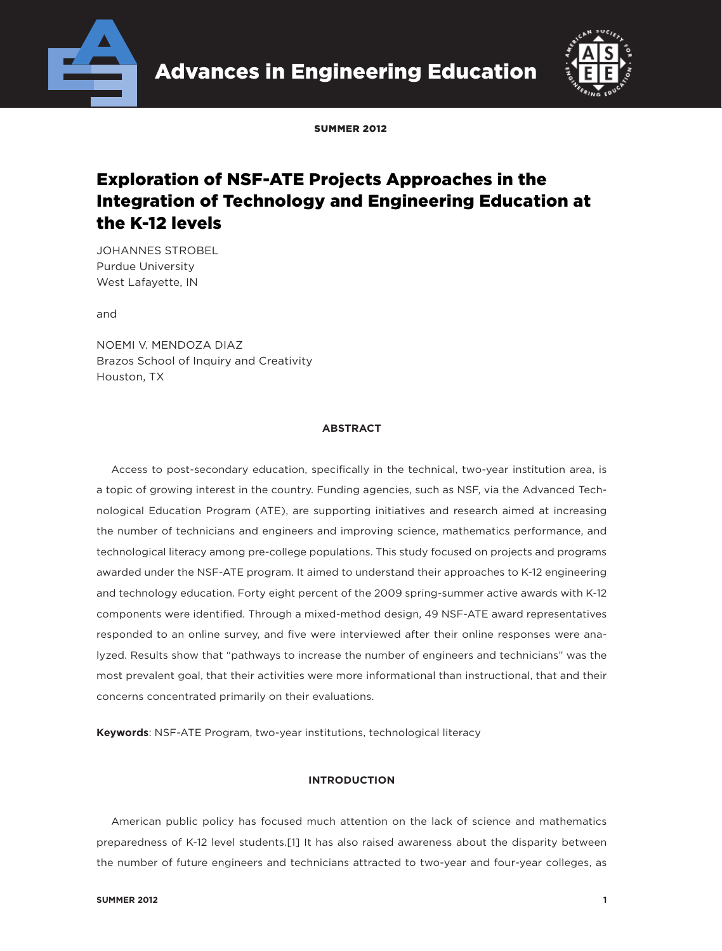



SUMMER 2012

# Exploration of NSF-ATE Projects Approaches in the Integration of Technology and Engineering Education at the K-12 levels

JOHANNES STROBEL Purdue University West Lafayette, IN

and

NOEMI V. MENDOZA DIAZ Brazos School of Inquiry and Creativity Houston, TX

#### **ABSTRACT**

Access to post-secondary education, specifically in the technical, two-year institution area, is a topic of growing interest in the country. Funding agencies, such as NSF, via the Advanced Technological Education Program (ATE), are supporting initiatives and research aimed at increasing the number of technicians and engineers and improving science, mathematics performance, and technological literacy among pre-college populations. This study focused on projects and programs awarded under the NSF-ATE program. It aimed to understand their approaches to K-12 engineering and technology education. Forty eight percent of the 2009 spring-summer active awards with K-12 components were identified. Through a mixed-method design, 49 NSF-ATE award representatives responded to an online survey, and five were interviewed after their online responses were analyzed. Results show that "pathways to increase the number of engineers and technicians" was the most prevalent goal, that their activities were more informational than instructional, that and their concerns concentrated primarily on their evaluations.

**Keywords**: NSF-ATE Program, two-year institutions, technological literacy

#### **INTRODUCTION**

American public policy has focused much attention on the lack of science and mathematics preparedness of K-12 level students.[1] It has also raised awareness about the disparity between the number of future engineers and technicians attracted to two-year and four-year colleges, as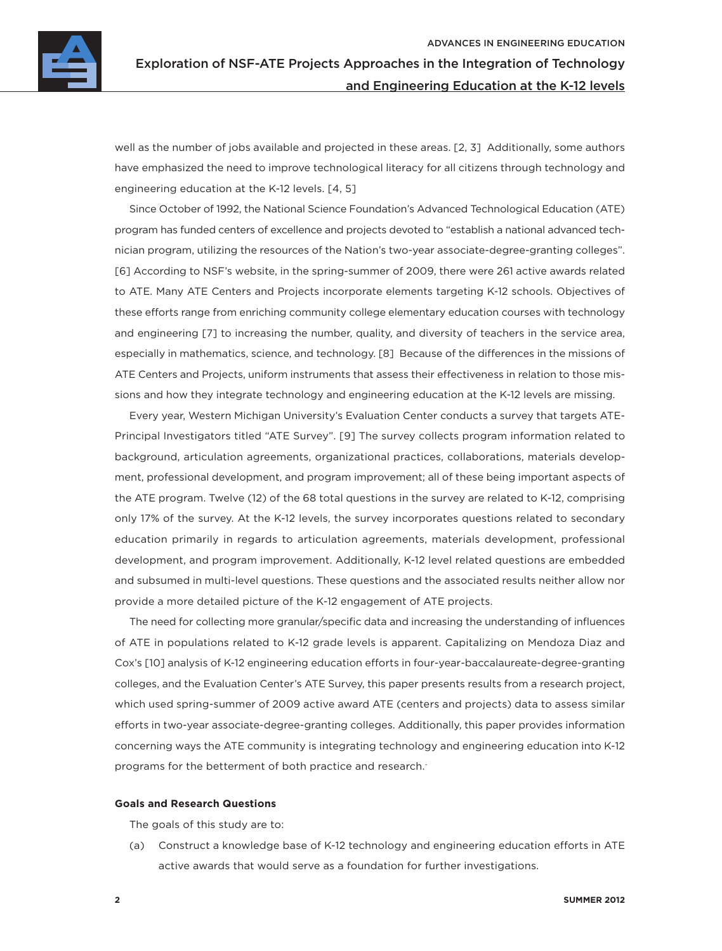

well as the number of jobs available and projected in these areas. [2, 3] Additionally, some authors have emphasized the need to improve technological literacy for all citizens through technology and engineering education at the K-12 levels. [4, 5]

Since October of 1992, the National Science Foundation's Advanced Technological Education (ATE) program has funded centers of excellence and projects devoted to "establish a national advanced technician program, utilizing the resources of the Nation's two-year associate-degree-granting colleges". [6] According to NSF's website, in the spring-summer of 2009, there were 261 active awards related to ATE. Many ATE Centers and Projects incorporate elements targeting K-12 schools. Objectives of these efforts range from enriching community college elementary education courses with technology and engineering [7] to increasing the number, quality, and diversity of teachers in the service area, especially in mathematics, science, and technology. [8] Because of the differences in the missions of ATE Centers and Projects, uniform instruments that assess their effectiveness in relation to those missions and how they integrate technology and engineering education at the K-12 levels are missing.

Every year, Western Michigan University's Evaluation Center conducts a survey that targets ATE-Principal Investigators titled "ATE Survey". [9] The survey collects program information related to background, articulation agreements, organizational practices, collaborations, materials development, professional development, and program improvement; all of these being important aspects of the ATE program. Twelve (12) of the 68 total questions in the survey are related to K-12, comprising only 17% of the survey. At the K-12 levels, the survey incorporates questions related to secondary education primarily in regards to articulation agreements, materials development, professional development, and program improvement. Additionally, K-12 level related questions are embedded and subsumed in multi-level questions. These questions and the associated results neither allow nor provide a more detailed picture of the K-12 engagement of ATE projects.

The need for collecting more granular/specific data and increasing the understanding of influences of ATE in populations related to K-12 grade levels is apparent. Capitalizing on Mendoza Diaz and Cox's [10] analysis of K-12 engineering education efforts in four-year-baccalaureate-degree-granting colleges, and the Evaluation Center's ATE Survey, this paper presents results from a research project, which used spring-summer of 2009 active award ATE (centers and projects) data to assess similar efforts in two-year associate-degree-granting colleges. Additionally, this paper provides information concerning ways the ATE community is integrating technology and engineering education into K-12 programs for the betterment of both practice and research.<sup>-</sup>

#### **Goals and Research Questions**

The goals of this study are to:

(a) Construct a knowledge base of K-12 technology and engineering education efforts in ATE active awards that would serve as a foundation for further investigations.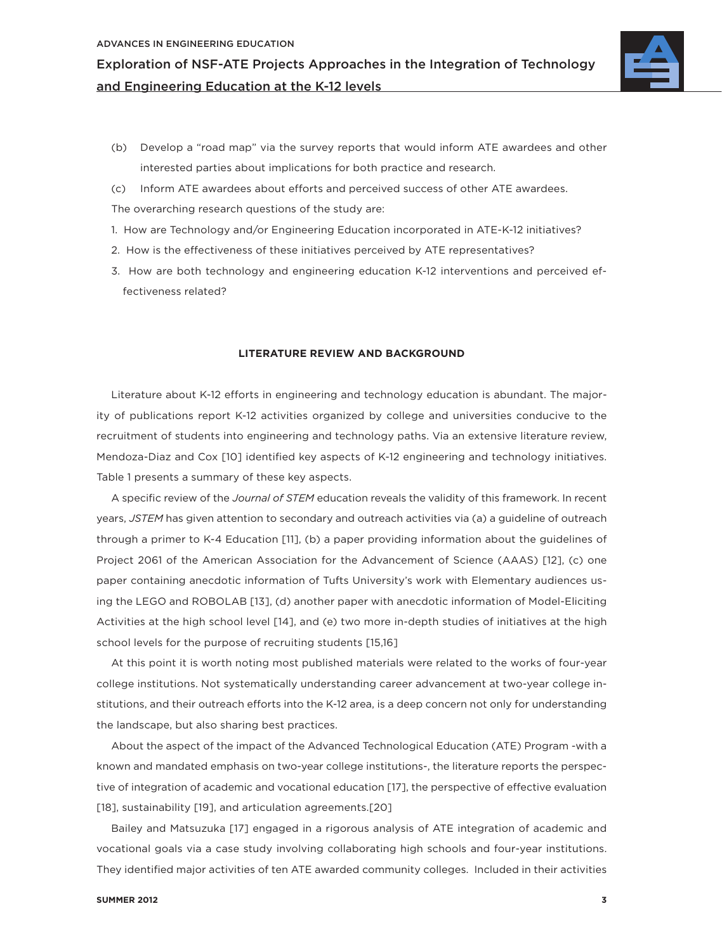

- (b) Develop a "road map" via the survey reports that would inform ATE awardees and other interested parties about implications for both practice and research.
- (c) Inform ATE awardees about efforts and perceived success of other ATE awardees.

The overarching research questions of the study are:

- 1. How are Technology and/or Engineering Education incorporated in ATE-K-12 initiatives?
- 2. How is the effectiveness of these initiatives perceived by ATE representatives?
- 3. How are both technology and engineering education K-12 interventions and perceived effectiveness related?

#### **LITERATURE REVIEW AND BACKGROUND**

Literature about K-12 efforts in engineering and technology education is abundant. The majority of publications report K-12 activities organized by college and universities conducive to the recruitment of students into engineering and technology paths. Via an extensive literature review, Mendoza-Diaz and Cox [10] identified key aspects of K-12 engineering and technology initiatives. Table 1 presents a summary of these key aspects.

A specific review of the *Journal of STEM* education reveals the validity of this framework. In recent years, *JSTEM* has given attention to secondary and outreach activities via (a) a guideline of outreach through a primer to K-4 Education [11], (b) a paper providing information about the guidelines of Project 2061 of the American Association for the Advancement of Science (AAAS) [12], (c) one paper containing anecdotic information of Tufts University's work with Elementary audiences using the LEGO and ROBOLAB [13], (d) another paper with anecdotic information of Model-Eliciting Activities at the high school level [14], and (e) two more in-depth studies of initiatives at the high school levels for the purpose of recruiting students [15,16]

At this point it is worth noting most published materials were related to the works of four-year college institutions. Not systematically understanding career advancement at two-year college institutions, and their outreach efforts into the K-12 area, is a deep concern not only for understanding the landscape, but also sharing best practices.

About the aspect of the impact of the Advanced Technological Education (ATE) Program -with a known and mandated emphasis on two-year college institutions-, the literature reports the perspective of integration of academic and vocational education [17], the perspective of effective evaluation [18], sustainability [19], and articulation agreements.[20]

Bailey and Matsuzuka [17] engaged in a rigorous analysis of ATE integration of academic and vocational goals via a case study involving collaborating high schools and four-year institutions. They identified major activities of ten ATE awarded community colleges. Included in their activities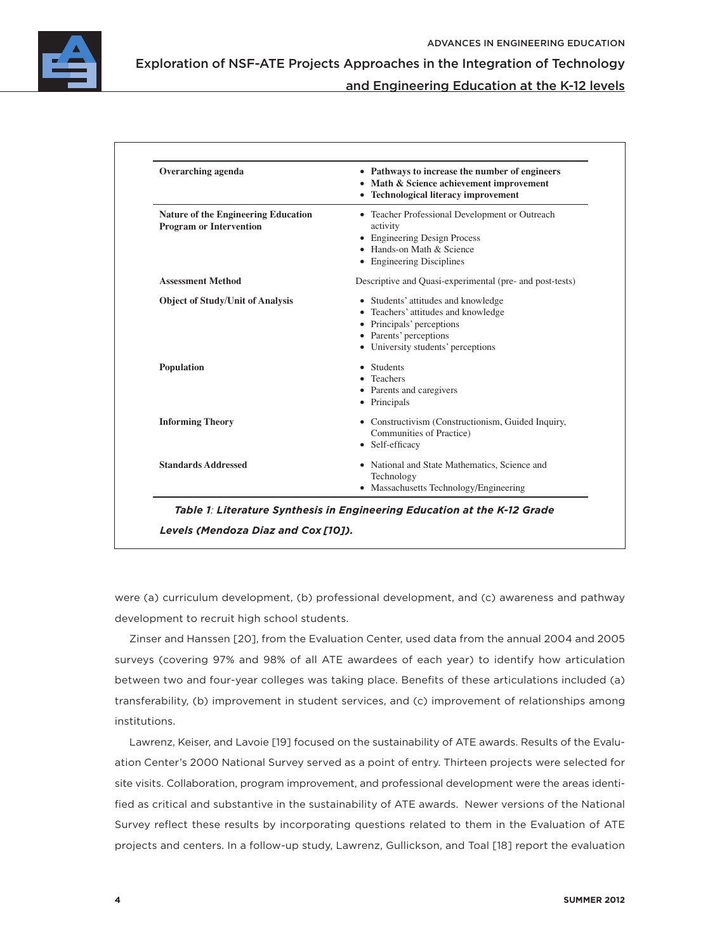

Exploration of NSF-ATE Projects Approaches in the Integration of Technology

### and Engineering Education at the K-12 levels

| Overarching agenda                                                           | • Pathways to increase the number of engineers<br>• Math & Science achievement improvement<br>• Technological literacy improvement                                                    |  |  |  |  |
|------------------------------------------------------------------------------|---------------------------------------------------------------------------------------------------------------------------------------------------------------------------------------|--|--|--|--|
| <b>Nature of the Engineering Education</b><br><b>Program or Intervention</b> | • Teacher Professional Development or Outreach<br>activity<br>• Engineering Design Process<br>• Hands-on Math & Science<br>• Engineering Disciplines                                  |  |  |  |  |
| <b>Assessment Method</b>                                                     | Descriptive and Quasi-experimental (pre- and post-tests)                                                                                                                              |  |  |  |  |
| <b>Object of Study/Unit of Analysis</b>                                      | • Students' attitudes and knowledge<br>• Teachers' attitudes and knowledge<br>• Principals' perceptions<br>• Parents' perceptions<br>• University students' perceptions<br>• Students |  |  |  |  |
| Population                                                                   | • Teachers<br>• Parents and caregivers<br>• Principals                                                                                                                                |  |  |  |  |
| <b>Informing Theory</b>                                                      | • Constructivism (Constructionism, Guided Inquiry,<br>Communities of Practice)<br>• Self-efficacy                                                                                     |  |  |  |  |
| <b>Standards Addressed</b>                                                   | • National and State Mathematics, Science and<br>Technology<br>• Massachusetts Technology/Engineering                                                                                 |  |  |  |  |

were (a) curriculum development, (b) professional development, and (c) awareness and pathway development to recruit high school students.

Zinser and Hanssen [20], from the Evaluation Center, used data from the annual 2004 and 2005 surveys (covering 97% and 98% of all ATE awardees of each year) to identify how articulation between two and four-year colleges was taking place. Benefits of these articulations included (a) transferability, (b) improvement in student services, and (c) improvement of relationships among institutions.

Lawrenz, Keiser, and Lavoie [19] focused on the sustainability of ATE awards. Results of the Evaluation Center's 2000 National Survey served as a point of entry. Thirteen projects were selected for site visits. Collaboration, program improvement, and professional development were the areas identified as critical and substantive in the sustainability of ATE awards. Newer versions of the National Survey reflect these results by incorporating questions related to them in the Evaluation of ATE projects and centers. In a follow-up study, Lawrenz, Gullickson, and Toal [18] report the evaluation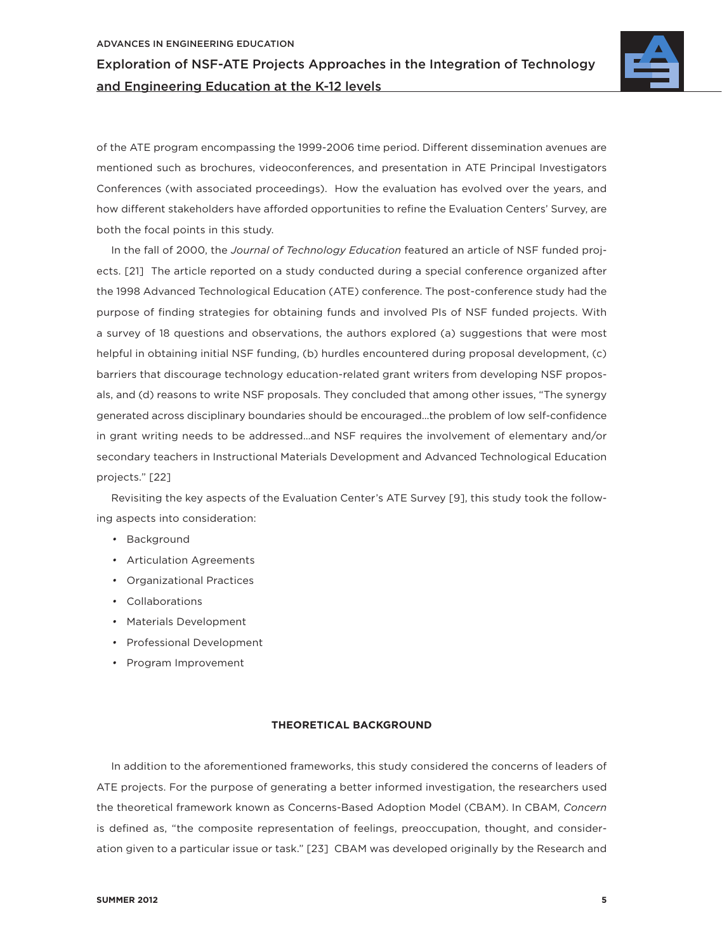

of the ATE program encompassing the 1999-2006 time period. Different dissemination avenues are mentioned such as brochures, videoconferences, and presentation in ATE Principal Investigators Conferences (with associated proceedings). How the evaluation has evolved over the years, and how different stakeholders have afforded opportunities to refine the Evaluation Centers' Survey, are both the focal points in this study.

In the fall of 2000, the *Journal of Technology Education* featured an article of NSF funded projects. [21] The article reported on a study conducted during a special conference organized after the 1998 Advanced Technological Education (ATE) conference. The post-conference study had the purpose of finding strategies for obtaining funds and involved PIs of NSF funded projects. With a survey of 18 questions and observations, the authors explored (a) suggestions that were most helpful in obtaining initial NSF funding, (b) hurdles encountered during proposal development, (c) barriers that discourage technology education-related grant writers from developing NSF proposals, and (d) reasons to write NSF proposals. They concluded that among other issues, "The synergy generated across disciplinary boundaries should be encouraged...the problem of low self-confidence in grant writing needs to be addressed…and NSF requires the involvement of elementary and/or secondary teachers in Instructional Materials Development and Advanced Technological Education projects." [22]

Revisiting the key aspects of the Evaluation Center's ATE Survey [9], this study took the following aspects into consideration:

- Background
- Articulation Agreements
- Organizational Practices
- Collaborations
- Materials Development
- Professional Development
- Program Improvement

#### **THEORETICAL BACKGROUND**

In addition to the aforementioned frameworks, this study considered the concerns of leaders of ATE projects. For the purpose of generating a better informed investigation, the researchers used the theoretical framework known as Concerns-Based Adoption Model (CBAM). In CBAM, *Concern*  is defined as, "the composite representation of feelings, preoccupation, thought, and consideration given to a particular issue or task." [23] CBAM was developed originally by the Research and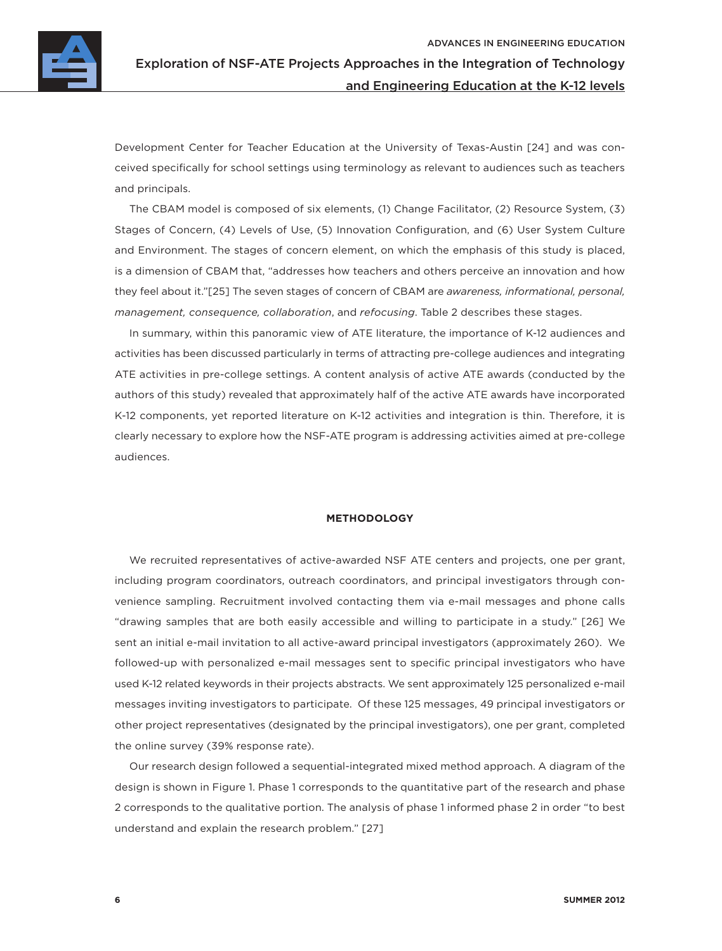

Development Center for Teacher Education at the University of Texas-Austin [24] and was conceived specifically for school settings using terminology as relevant to audiences such as teachers and principals.

The CBAM model is composed of six elements, (1) Change Facilitator, (2) Resource System, (3) Stages of Concern, (4) Levels of Use, (5) Innovation Configuration, and (6) User System Culture and Environment. The stages of concern element, on which the emphasis of this study is placed, is a dimension of CBAM that, "addresses how teachers and others perceive an innovation and how they feel about it."[25] The seven stages of concern of CBAM are *awareness, informational, personal, management, consequence, collaboration*, and *refocusing*. Table 2 describes these stages.

In summary, within this panoramic view of ATE literature, the importance of K-12 audiences and activities has been discussed particularly in terms of attracting pre-college audiences and integrating ATE activities in pre-college settings. A content analysis of active ATE awards (conducted by the authors of this study) revealed that approximately half of the active ATE awards have incorporated K-12 components, yet reported literature on K-12 activities and integration is thin. Therefore, it is clearly necessary to explore how the NSF-ATE program is addressing activities aimed at pre-college audiences.

#### **METHODOLOGY**

We recruited representatives of active-awarded NSF ATE centers and projects, one per grant, including program coordinators, outreach coordinators, and principal investigators through convenience sampling. Recruitment involved contacting them via e-mail messages and phone calls "drawing samples that are both easily accessible and willing to participate in a study." [26] We sent an initial e-mail invitation to all active-award principal investigators (approximately 260). We followed-up with personalized e-mail messages sent to specific principal investigators who have used K-12 related keywords in their projects abstracts. We sent approximately 125 personalized e-mail messages inviting investigators to participate. Of these 125 messages, 49 principal investigators or other project representatives (designated by the principal investigators), one per grant, completed the online survey (39% response rate).

Our research design followed a sequential-integrated mixed method approach. A diagram of the design is shown in Figure 1. Phase 1 corresponds to the quantitative part of the research and phase 2 corresponds to the qualitative portion. The analysis of phase 1 informed phase 2 in order "to best understand and explain the research problem." [27]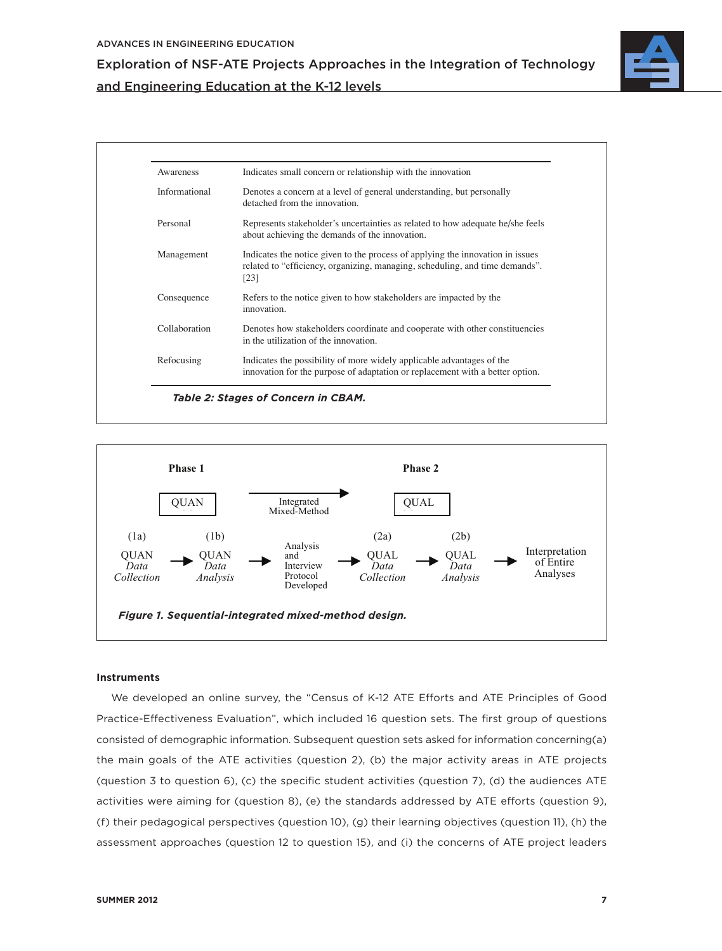

| Awareness     | Indicates small concern or relationship with the innovation                                                                                                            |
|---------------|------------------------------------------------------------------------------------------------------------------------------------------------------------------------|
| Informational | Denotes a concern at a level of general understanding, but personally<br>detached from the innovation.                                                                 |
| Personal      | Represents stakeholder's uncertainties as related to how adequate he/she feels<br>about achieving the demands of the innovation.                                       |
| Management    | Indicates the notice given to the process of applying the innovation in issues<br>related to "efficiency, organizing, managing, scheduling, and time demands".<br>[23] |
| Consequence   | Refers to the notice given to how stakeholders are impacted by the<br>innovation.                                                                                      |
| Collaboration | Denotes how stakeholders coordinate and cooperate with other constituencies<br>in the utilization of the innovation.                                                   |
| Refocusing    | Indicates the possibility of more widely applicable advantages of the<br>innovation for the purpose of adaptation or replacement with a better option.                 |



#### **Instruments**

We developed an online survey, the "Census of K-12 ATE Efforts and ATE Principles of Good Practice-Effectiveness Evaluation", which included 16 question sets. The first group of questions consisted of demographic information. Subsequent question sets asked for information concerning(a) the main goals of the ATE activities (question 2), (b) the major activity areas in ATE projects (question 3 to question 6), (c) the specific student activities (question 7), (d) the audiences ATE activities were aiming for (question 8), (e) the standards addressed by ATE efforts (question 9), (f) their pedagogical perspectives (question 10), (g) their learning objectives (question 11), (h) the assessment approaches (question 12 to question 15), and (i) the concerns of ATE project leaders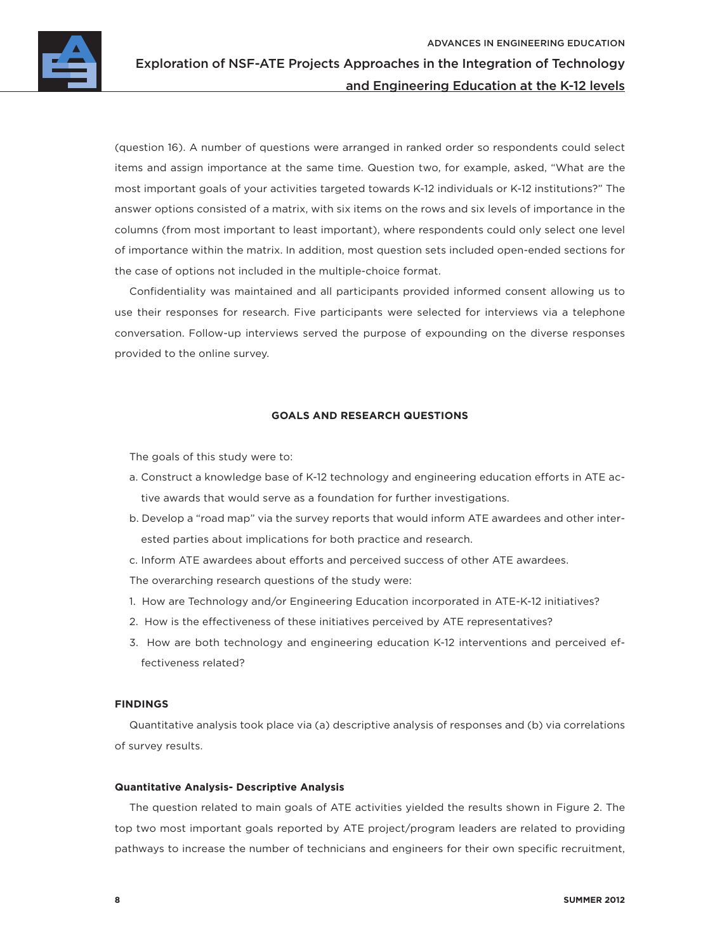

(question 16). A number of questions were arranged in ranked order so respondents could select items and assign importance at the same time. Question two, for example, asked, "What are the most important goals of your activities targeted towards K-12 individuals or K-12 institutions?" The answer options consisted of a matrix, with six items on the rows and six levels of importance in the columns (from most important to least important), where respondents could only select one level of importance within the matrix. In addition, most question sets included open-ended sections for the case of options not included in the multiple-choice format.

Confidentiality was maintained and all participants provided informed consent allowing us to use their responses for research. Five participants were selected for interviews via a telephone conversation. Follow-up interviews served the purpose of expounding on the diverse responses provided to the online survey.

#### **GOALS AND RESEARCH QUESTIONS**

The goals of this study were to:

- a. Construct a knowledge base of K-12 technology and engineering education efforts in ATE active awards that would serve as a foundation for further investigations.
- b. Develop a "road map" via the survey reports that would inform ATE awardees and other interested parties about implications for both practice and research.
- c. Inform ATE awardees about efforts and perceived success of other ATE awardees.

The overarching research questions of the study were:

- 1. How are Technology and/or Engineering Education incorporated in ATE-K-12 initiatives?
- 2. How is the effectiveness of these initiatives perceived by ATE representatives?
- 3. How are both technology and engineering education K-12 interventions and perceived effectiveness related?

#### **FINDINGS**

Quantitative analysis took place via (a) descriptive analysis of responses and (b) via correlations of survey results.

#### **Quantitative Analysis- Descriptive Analysis**

The question related to main goals of ATE activities yielded the results shown in Figure 2. The top two most important goals reported by ATE project/program leaders are related to providing pathways to increase the number of technicians and engineers for their own specific recruitment,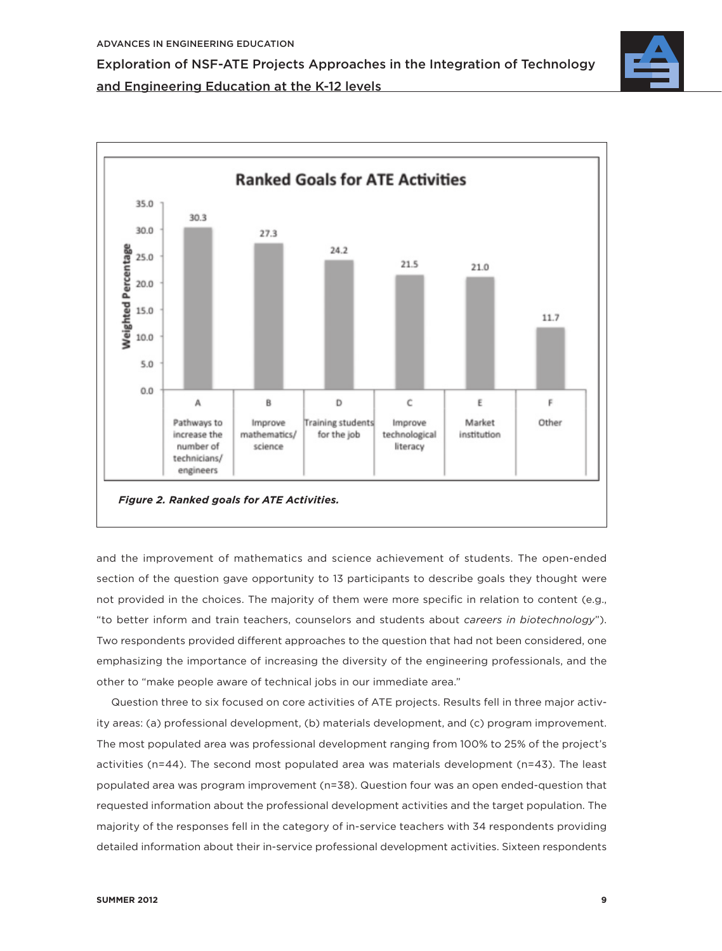

and the improvement of mathematics and science achievement of students. The open-ended section of the question gave opportunity to 13 participants to describe goals they thought were not provided in the choices. The majority of them were more specific in relation to content (e.g., "to better inform and train teachers, counselors and students about *careers in biotechnology*"). Two respondents provided different approaches to the question that had not been considered, one emphasizing the importance of increasing the diversity of the engineering professionals, and the other to "make people aware of technical jobs in our immediate area."

Question three to six focused on core activities of ATE projects. Results fell in three major activity areas: (a) professional development, (b) materials development, and (c) program improvement. The most populated area was professional development ranging from 100% to 25% of the project's activities (n=44). The second most populated area was materials development (n=43). The least populated area was program improvement (n=38). Question four was an open ended-question that requested information about the professional development activities and the target population. The majority of the responses fell in the category of in-service teachers with 34 respondents providing detailed information about their in-service professional development activities. Sixteen respondents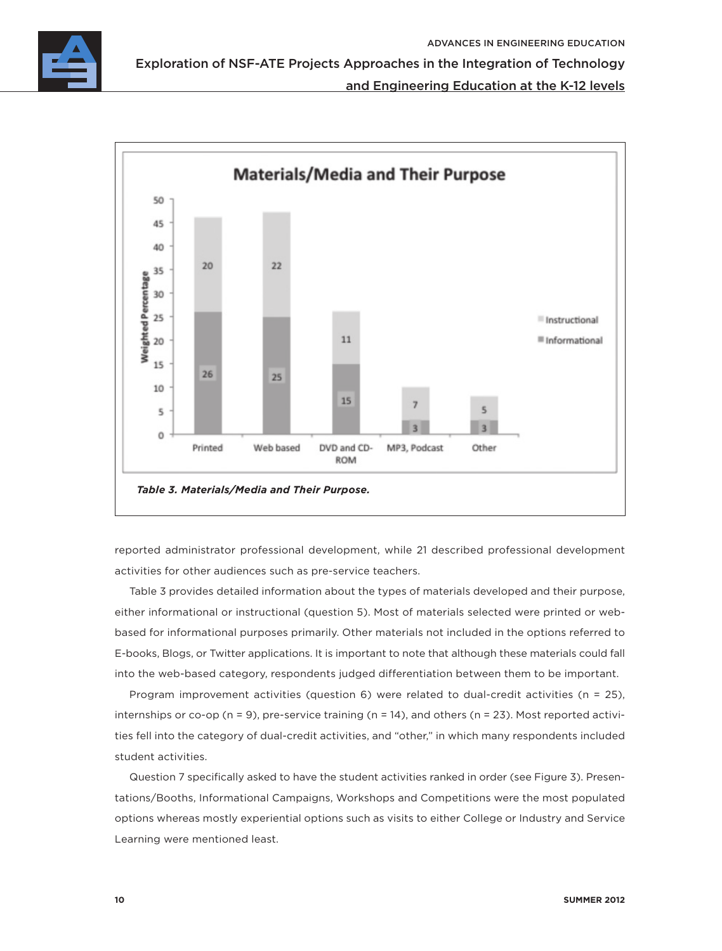

Exploration of NSF-ATE Projects Approaches in the Integration of Technology

### and Engineering Education at the K-12 levels



reported administrator professional development, while 21 described professional development activities for other audiences such as pre-service teachers.

Table 3 provides detailed information about the types of materials developed and their purpose, either informational or instructional (question 5). Most of materials selected were printed or webbased for informational purposes primarily. Other materials not included in the options referred to E-books, Blogs, or Twitter applications. It is important to note that although these materials could fall into the web-based category, respondents judged differentiation between them to be important.

Program improvement activities (question 6) were related to dual-credit activities (n = 25), internships or co-op ( $n = 9$ ), pre-service training ( $n = 14$ ), and others ( $n = 23$ ). Most reported activities fell into the category of dual-credit activities, and "other," in which many respondents included student activities.

Question 7 specifically asked to have the student activities ranked in order (see Figure 3). Presentations/Booths, Informational Campaigns, Workshops and Competitions were the most populated options whereas mostly experiential options such as visits to either College or Industry and Service Learning were mentioned least.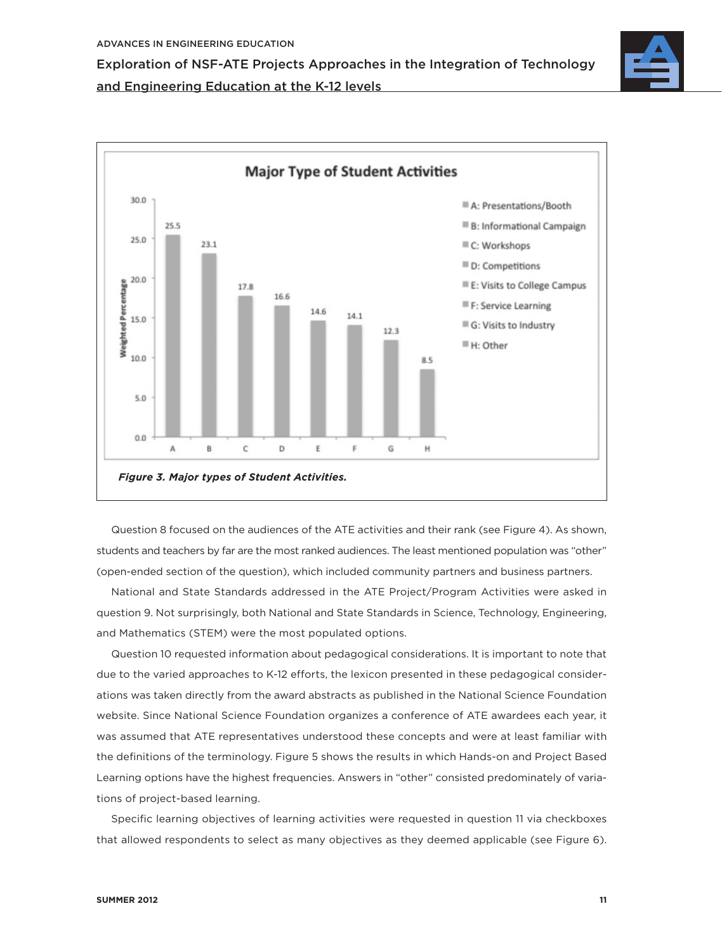



Question 8 focused on the audiences of the ATE activities and their rank (see Figure 4). As shown, students and teachers by far are the most ranked audiences. The least mentioned population was "other" (open-ended section of the question), which included community partners and business partners.

National and State Standards addressed in the ATE Project/Program Activities were asked in question 9. Not surprisingly, both National and State Standards in Science, Technology, Engineering, and Mathematics (STEM) were the most populated options.

Question 10 requested information about pedagogical considerations. It is important to note that due to the varied approaches to K-12 efforts, the lexicon presented in these pedagogical considerations was taken directly from the award abstracts as published in the National Science Foundation website. Since National Science Foundation organizes a conference of ATE awardees each year, it was assumed that ATE representatives understood these concepts and were at least familiar with the definitions of the terminology. Figure 5 shows the results in which Hands-on and Project Based Learning options have the highest frequencies. Answers in "other" consisted predominately of variations of project-based learning.

Specific learning objectives of learning activities were requested in question 11 via checkboxes that allowed respondents to select as many objectives as they deemed applicable (see Figure 6).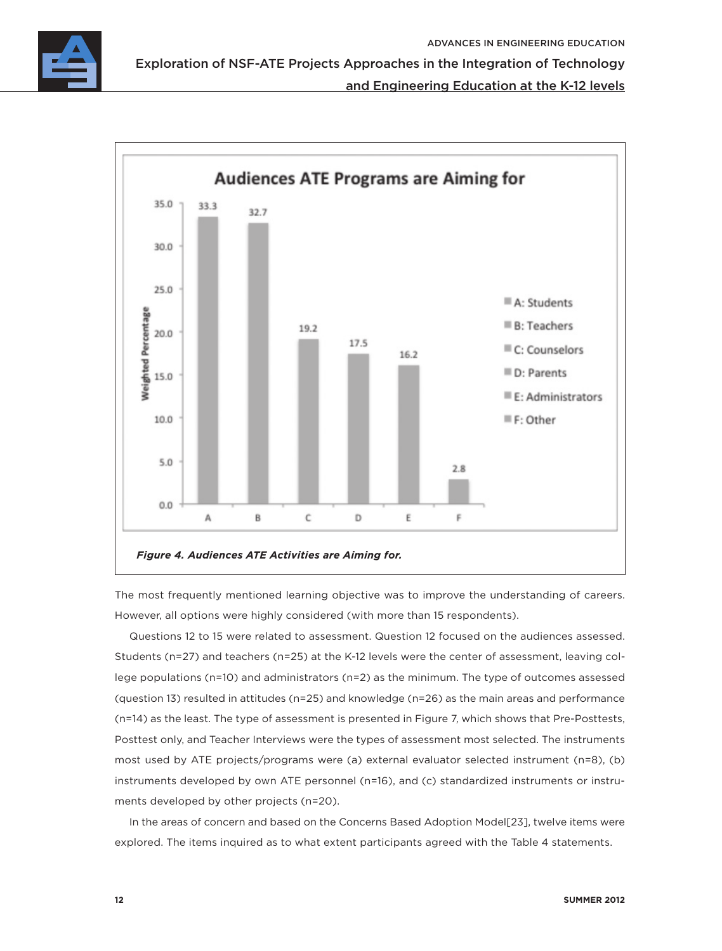

Exploration of NSF-ATE Projects Approaches in the Integration of Technology

and Engineering Education at the K-12 levels



The most frequently mentioned learning objective was to improve the understanding of careers. However, all options were highly considered (with more than 15 respondents).

Questions 12 to 15 were related to assessment. Question 12 focused on the audiences assessed. Students (n=27) and teachers (n=25) at the K-12 levels were the center of assessment, leaving college populations (n=10) and administrators (n=2) as the minimum. The type of outcomes assessed (question 13) resulted in attitudes (n=25) and knowledge (n=26) as the main areas and performance (n=14) as the least. The type of assessment is presented in Figure 7, which shows that Pre-Posttests, Posttest only, and Teacher Interviews were the types of assessment most selected. The instruments most used by ATE projects/programs were (a) external evaluator selected instrument (n=8), (b) instruments developed by own ATE personnel (n=16), and (c) standardized instruments or instruments developed by other projects (n=20).

In the areas of concern and based on the Concerns Based Adoption Model[23], twelve items were explored. The items inquired as to what extent participants agreed with the Table 4 statements.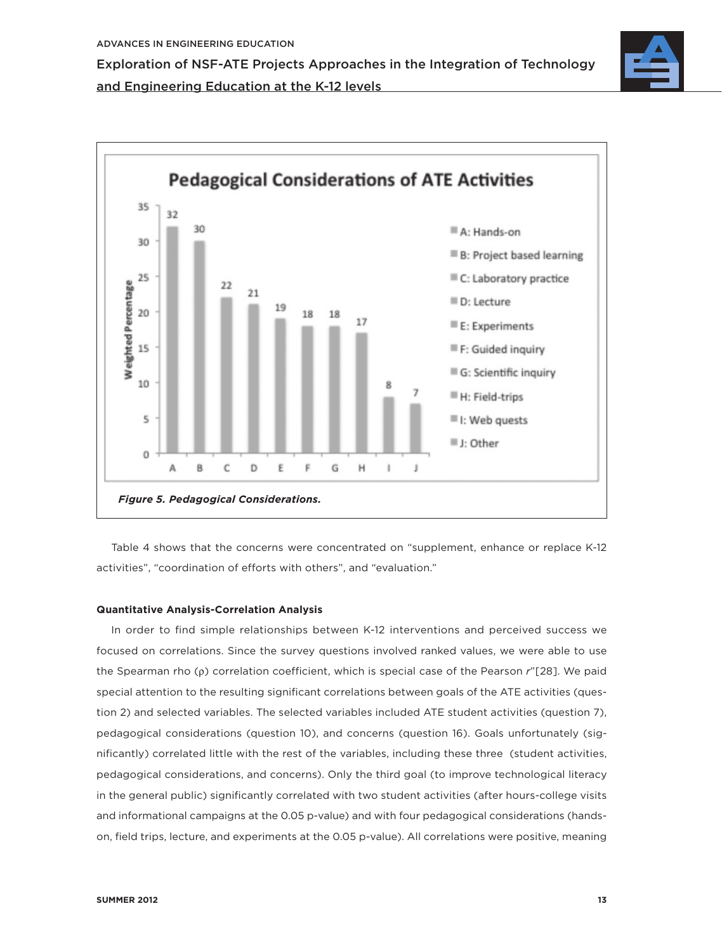



Table 4 shows that the concerns were concentrated on "supplement, enhance or replace K-12 activities", "coordination of efforts with others", and "evaluation."

#### **Quantitative Analysis-Correlation Analysis**

In order to find simple relationships between K-12 interventions and perceived success we focused on correlations. Since the survey questions involved ranked values, we were able to use the Spearman rho (ρ) correlation coefficient, which is special case of the Pearson r"[28]. We paid special attention to the resulting significant correlations between goals of the ATE activities (question 2) and selected variables. The selected variables included ATE student activities (question 7), pedagogical considerations (question 10), and concerns (question 16). Goals unfortunately (significantly) correlated little with the rest of the variables, including these three (student activities, pedagogical considerations, and concerns). Only the third goal (to improve technological literacy in the general public) significantly correlated with two student activities (after hours-college visits and informational campaigns at the 0.05 p-value) and with four pedagogical considerations (handson, field trips, lecture, and experiments at the 0.05 p-value). All correlations were positive, meaning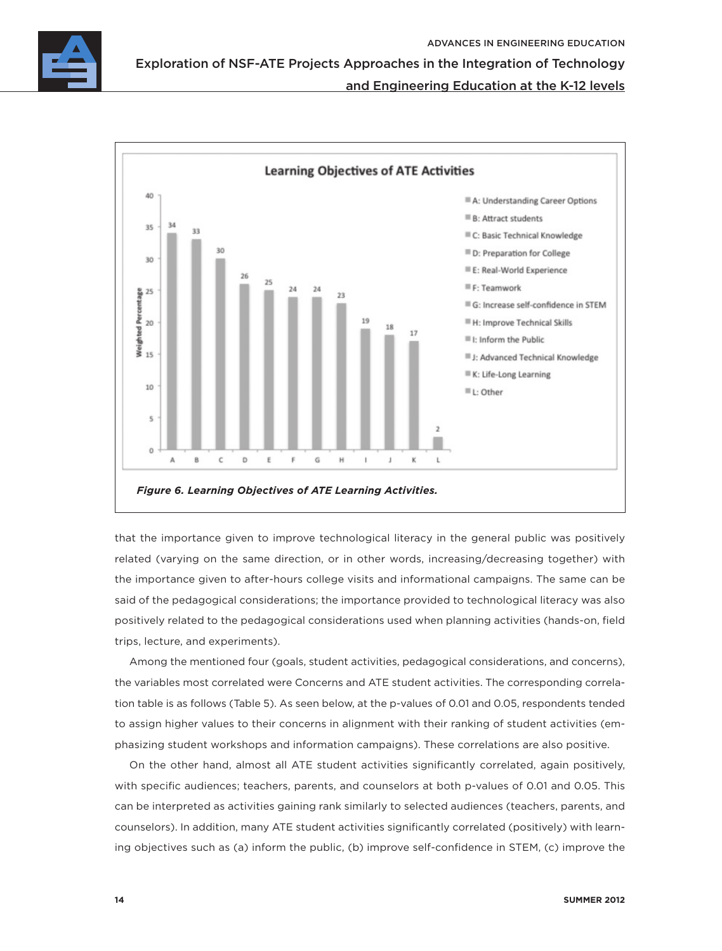

Exploration of NSF-ATE Projects Approaches in the Integration of Technology

## and Engineering Education at the K-12 levels



that the importance given to improve technological literacy in the general public was positively related (varying on the same direction, or in other words, increasing/decreasing together) with the importance given to after-hours college visits and informational campaigns. The same can be said of the pedagogical considerations; the importance provided to technological literacy was also positively related to the pedagogical considerations used when planning activities (hands-on, field trips, lecture, and experiments).

Among the mentioned four (goals, student activities, pedagogical considerations, and concerns), the variables most correlated were Concerns and ATE student activities. The corresponding correlation table is as follows (Table 5). As seen below, at the p-values of 0.01 and 0.05, respondents tended to assign higher values to their concerns in alignment with their ranking of student activities (emphasizing student workshops and information campaigns). These correlations are also positive.

On the other hand, almost all ATE student activities significantly correlated, again positively, with specific audiences; teachers, parents, and counselors at both p-values of 0.01 and 0.05. This can be interpreted as activities gaining rank similarly to selected audiences (teachers, parents, and counselors). In addition, many ATE student activities significantly correlated (positively) with learning objectives such as (a) inform the public, (b) improve self-confidence in STEM, (c) improve the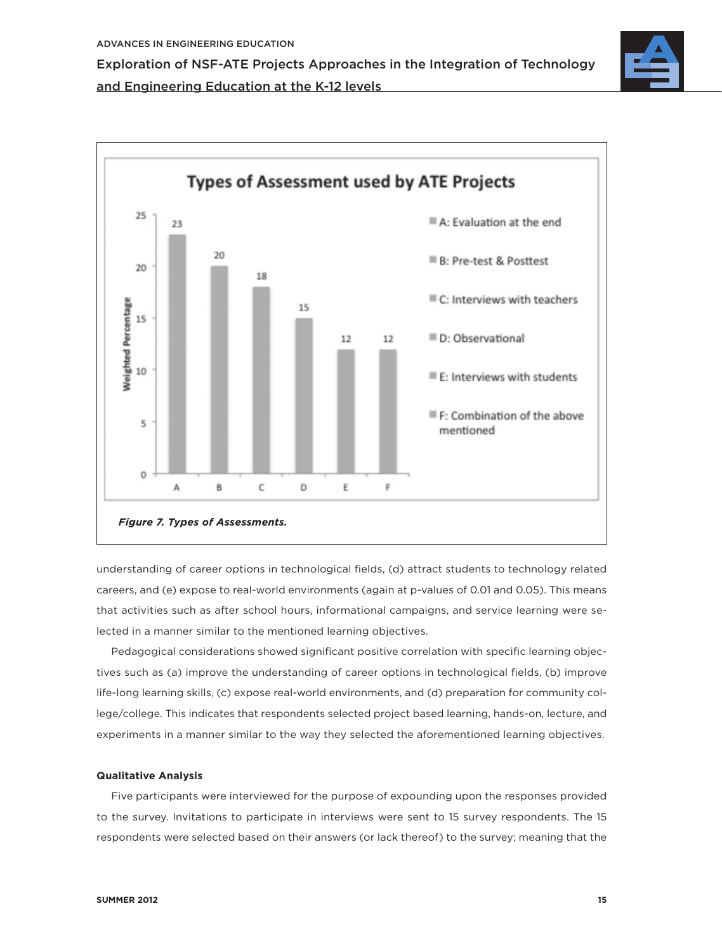



understanding of career options in technological fields, (d) attract students to technology related careers, and (e) expose to real-world environments (again at p-values of 0.01 and 0.05). This means that activities such as after school hours, informational campaigns, and service learning were selected in a manner similar to the mentioned learning objectives.

Pedagogical considerations showed significant positive correlation with specific learning objectives such as (a) improve the understanding of career options in technological fields, (b) improve life-long learning skills, (c) expose real-world environments, and (d) preparation for community college/college. This indicates that respondents selected project based learning, hands-on, lecture, and experiments in a manner similar to the way they selected the aforementioned learning objectives.

#### **Qualitative Analysis**

Five participants were interviewed for the purpose of expounding upon the responses provided to the survey. Invitations to participate in interviews were sent to 15 survey respondents. The 15 respondents were selected based on their answers (or lack thereof) to the survey; meaning that the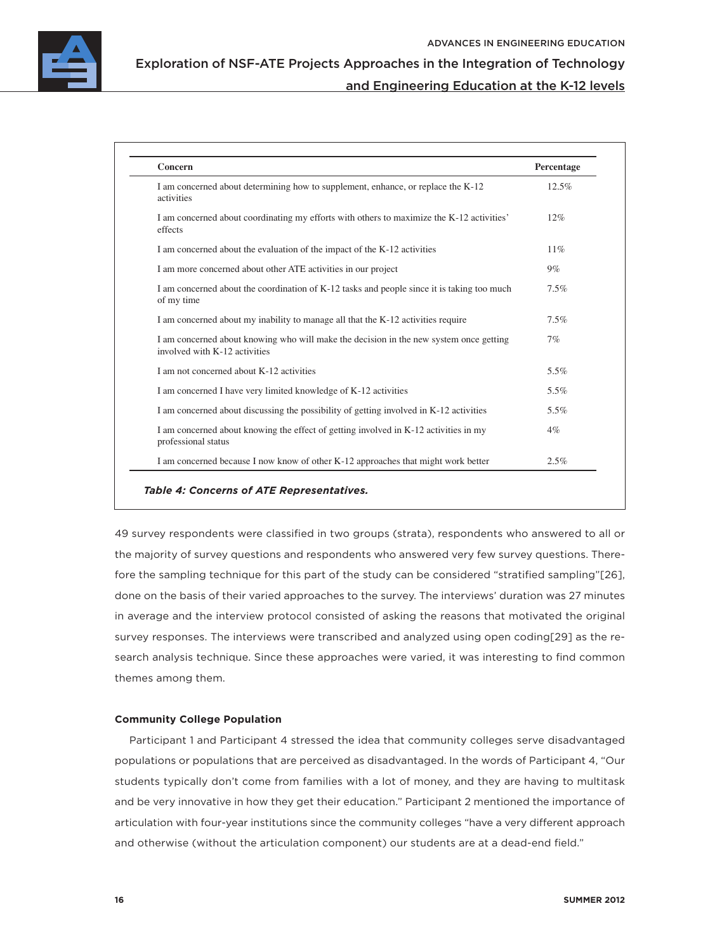

| I am concerned about determining how to supplement, enhance, or replace the K-12<br>activities                          | 12.5%  |
|-------------------------------------------------------------------------------------------------------------------------|--------|
| I am concerned about coordinating my efforts with others to maximize the K-12 activities'<br>effects                    | 12%    |
| I am concerned about the evaluation of the impact of the K-12 activities                                                | $11\%$ |
| I am more concerned about other ATE activities in our project                                                           | $9\%$  |
| I am concerned about the coordination of K-12 tasks and people since it is taking too much<br>of my time                | 7.5%   |
| I am concerned about my inability to manage all that the K-12 activities require                                        | 7.5%   |
| I am concerned about knowing who will make the decision in the new system once getting<br>involved with K-12 activities | 7%     |
| I am not concerned about K-12 activities                                                                                | 5.5%   |
| I am concerned I have very limited knowledge of K-12 activities                                                         | 5.5%   |
| I am concerned about discussing the possibility of getting involved in K-12 activities                                  | 5.5%   |
| I am concerned about knowing the effect of getting involved in K-12 activities in my<br>professional status             | $4\%$  |
| I am concerned because I now know of other K-12 approaches that might work better                                       | 2.5%   |

49 survey respondents were classified in two groups (strata), respondents who answered to all or the majority of survey questions and respondents who answered very few survey questions. Therefore the sampling technique for this part of the study can be considered "stratified sampling"[26], done on the basis of their varied approaches to the survey. The interviews' duration was 27 minutes in average and the interview protocol consisted of asking the reasons that motivated the original survey responses. The interviews were transcribed and analyzed using open coding[29] as the research analysis technique. Since these approaches were varied, it was interesting to find common themes among them.

#### **Community College Population**

Participant 1 and Participant 4 stressed the idea that community colleges serve disadvantaged populations or populations that are perceived as disadvantaged. In the words of Participant 4, "Our students typically don't come from families with a lot of money, and they are having to multitask and be very innovative in how they get their education." Participant 2 mentioned the importance of articulation with four-year institutions since the community colleges "have a very different approach and otherwise (without the articulation component) our students are at a dead-end field."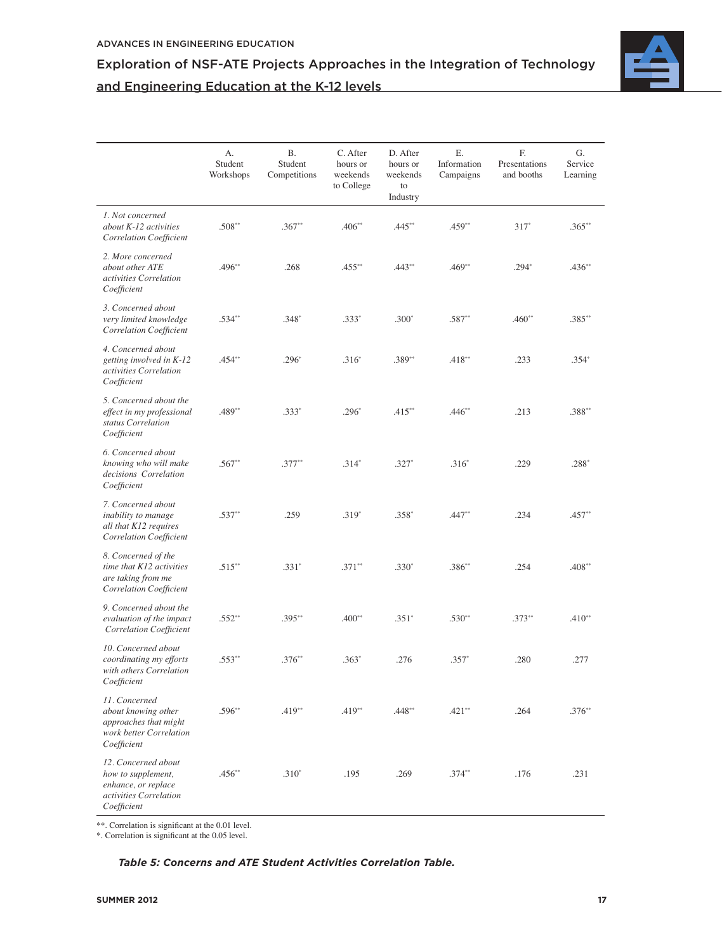

|                                                                                                           | А.<br>Student<br>Workshops | <b>B.</b><br>Student<br>Competitions | C. After<br>hours or<br>weekends<br>to College | D. After<br>hours or<br>weekends<br>to<br>Industry | Ε.<br>Information<br>Campaigns | F.<br>Presentations<br>and booths | G.<br>Service<br>Learning |
|-----------------------------------------------------------------------------------------------------------|----------------------------|--------------------------------------|------------------------------------------------|----------------------------------------------------|--------------------------------|-----------------------------------|---------------------------|
| 1. Not concerned<br>about K-12 activities<br>Correlation Coefficient                                      | $.508**$                   | $.367**$                             | $.406**$                                       | $.445**$                                           | $.459**$                       | $317*$                            | $.365**$                  |
| 2. More concerned<br>about other ATE<br>activities Correlation<br>Coefficient                             | .496**                     | .268                                 | $.455***$                                      | $.443**$                                           | $.469**$                       | $.294*$                           | $.436**$                  |
| 3. Concerned about<br>very limited knowledge<br><b>Correlation Coefficient</b>                            | $.534**$                   | $.348*$                              | $.333*$                                        | $.300*$                                            | $.587**$                       | $.460**$                          | $.385**$                  |
| 4. Concerned about<br>getting involved in K-12<br>activities Correlation<br>Coefficient                   | $.454**$                   | $.296*$                              | $.316*$                                        | .389**                                             | $.418**$                       | .233                              | $.354*$                   |
| 5. Concerned about the<br>effect in my professional<br>status Correlation<br>Coefficient                  | $.489**$                   | $.333*$                              | $.296*$                                        | $.415**$                                           | $.446**$                       | .213                              | .388**                    |
| 6. Concerned about<br>knowing who will make<br>decisions Correlation<br>Coefficient                       | $.567**$                   | $.377**$                             | $.314*$                                        | $.327*$                                            | $.316*$                        | .229                              | $.288*$                   |
| 7. Concerned about<br>inability to manage<br>all that K12 requires<br><b>Correlation Coefficient</b>      | $.537**$                   | .259                                 | $.319*$                                        | $.358*$                                            | $.447**$                       | .234                              | $.457**$                  |
| 8. Concerned of the<br>time that K12 activities<br>are taking from me<br><b>Correlation Coefficient</b>   | $.515**$                   | $.331*$                              | $.371**$                                       | $.330*$                                            | $.386**$                       | .254                              | $.408**$                  |
| 9. Concerned about the<br>evaluation of the impact<br><b>Correlation Coefficient</b>                      | $.552**$                   | $.395**$                             | $.400**$                                       | $.351*$                                            | $.530**$                       | $.373**$                          | $.410**$                  |
| 10. Concerned about<br>coordinating my efforts<br>with others Correlation<br>Coefficient                  | $.553**$                   | $.376**$                             | $.363*$                                        | .276                                               | $.357*$                        | .280                              | .277                      |
| 11. Concerned<br>about knowing other<br>approaches that might<br>work better Correlation<br>Coefficient   | $.596**$                   | $.419**$                             | $.419**$                                       | $.448**$                                           | $.421**$                       | .264                              | $.376**$                  |
| 12. Concerned about<br>how to supplement,<br>enhance, or replace<br>activities Correlation<br>Coefficient | $.456**$                   | $.310*$                              | .195                                           | .269                                               | $.374**$                       | .176                              | .231                      |

\*\*. Correlation is significant at the 0.01 level.

\*. Correlation is significant at the 0.05 level.

*Table 5: Concerns and ATE Student Activities Correlation Table.*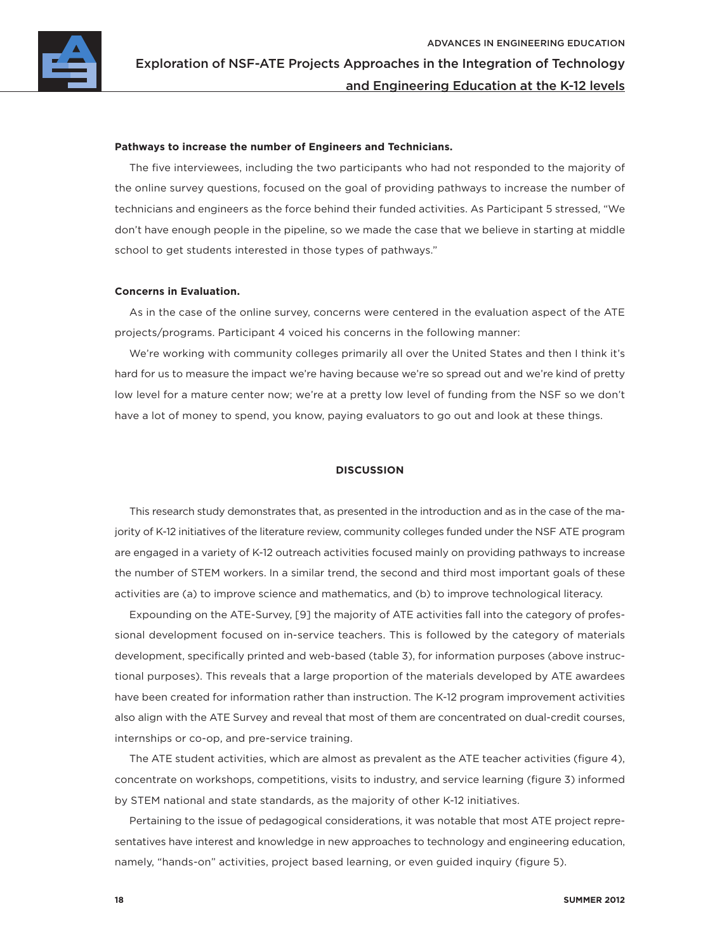

#### **Pathways to increase the number of Engineers and Technicians.**

The five interviewees, including the two participants who had not responded to the majority of the online survey questions, focused on the goal of providing pathways to increase the number of technicians and engineers as the force behind their funded activities. As Participant 5 stressed, "We don't have enough people in the pipeline, so we made the case that we believe in starting at middle school to get students interested in those types of pathways."

#### **Concerns in Evaluation.**

As in the case of the online survey, concerns were centered in the evaluation aspect of the ATE projects/programs. Participant 4 voiced his concerns in the following manner:

We're working with community colleges primarily all over the United States and then I think it's hard for us to measure the impact we're having because we're so spread out and we're kind of pretty low level for a mature center now; we're at a pretty low level of funding from the NSF so we don't have a lot of money to spend, you know, paying evaluators to go out and look at these things.

#### **DISCUSSION**

This research study demonstrates that, as presented in the introduction and as in the case of the majority of K-12 initiatives of the literature review, community colleges funded under the NSF ATE program are engaged in a variety of K-12 outreach activities focused mainly on providing pathways to increase the number of STEM workers. In a similar trend, the second and third most important goals of these activities are (a) to improve science and mathematics, and (b) to improve technological literacy.

Expounding on the ATE-Survey, [9] the majority of ATE activities fall into the category of professional development focused on in-service teachers. This is followed by the category of materials development, specifically printed and web-based (table 3), for information purposes (above instructional purposes). This reveals that a large proportion of the materials developed by ATE awardees have been created for information rather than instruction. The K-12 program improvement activities also align with the ATE Survey and reveal that most of them are concentrated on dual-credit courses, internships or co-op, and pre-service training.

The ATE student activities, which are almost as prevalent as the ATE teacher activities (figure 4), concentrate on workshops, competitions, visits to industry, and service learning (figure 3) informed by STEM national and state standards, as the majority of other K-12 initiatives.

Pertaining to the issue of pedagogical considerations, it was notable that most ATE project representatives have interest and knowledge in new approaches to technology and engineering education, namely, "hands-on" activities, project based learning, or even guided inquiry (figure 5).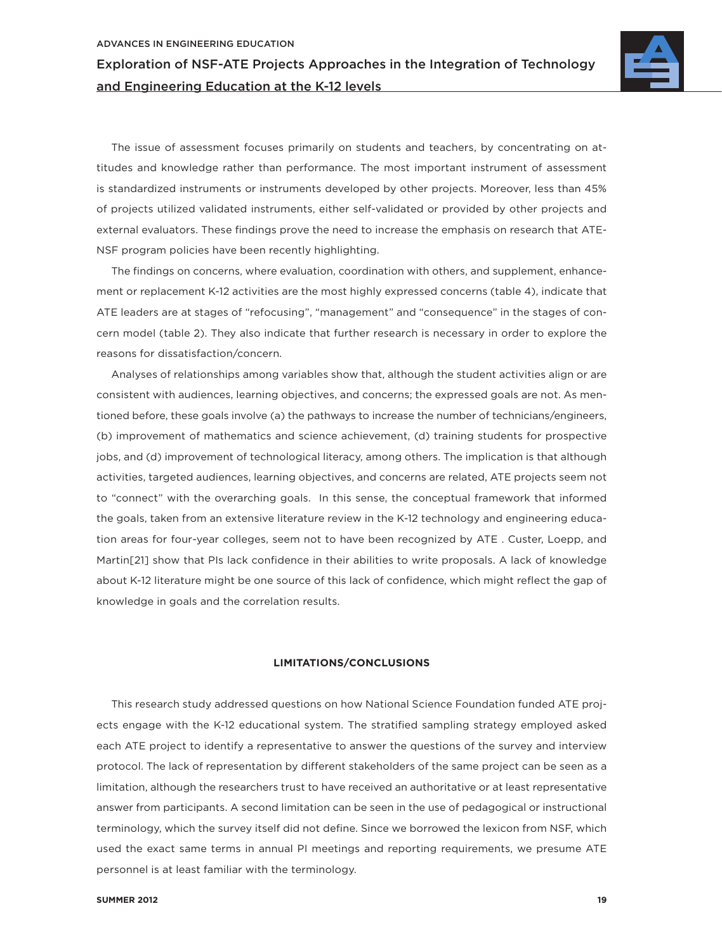

The issue of assessment focuses primarily on students and teachers, by concentrating on attitudes and knowledge rather than performance. The most important instrument of assessment is standardized instruments or instruments developed by other projects. Moreover, less than 45% of projects utilized validated instruments, either self-validated or provided by other projects and external evaluators. These findings prove the need to increase the emphasis on research that ATE-NSF program policies have been recently highlighting.

The findings on concerns, where evaluation, coordination with others, and supplement, enhancement or replacement K-12 activities are the most highly expressed concerns (table 4), indicate that ATE leaders are at stages of "refocusing", "management" and "consequence" in the stages of concern model (table 2). They also indicate that further research is necessary in order to explore the reasons for dissatisfaction/concern.

Analyses of relationships among variables show that, although the student activities align or are consistent with audiences, learning objectives, and concerns; the expressed goals are not. As mentioned before, these goals involve (a) the pathways to increase the number of technicians/engineers, (b) improvement of mathematics and science achievement, (d) training students for prospective jobs, and (d) improvement of technological literacy, among others. The implication is that although activities, targeted audiences, learning objectives, and concerns are related, ATE projects seem not to "connect" with the overarching goals. In this sense, the conceptual framework that informed the goals, taken from an extensive literature review in the K-12 technology and engineering education areas for four-year colleges, seem not to have been recognized by ATE . Custer, Loepp, and Martin[21] show that PIs lack confidence in their abilities to write proposals. A lack of knowledge about K-12 literature might be one source of this lack of confidence, which might reflect the gap of knowledge in goals and the correlation results.

#### **LIMITATIONS/CONCLUSIONS**

This research study addressed questions on how National Science Foundation funded ATE projects engage with the K-12 educational system. The stratified sampling strategy employed asked each ATE project to identify a representative to answer the questions of the survey and interview protocol. The lack of representation by different stakeholders of the same project can be seen as a limitation, although the researchers trust to have received an authoritative or at least representative answer from participants. A second limitation can be seen in the use of pedagogical or instructional terminology, which the survey itself did not define. Since we borrowed the lexicon from NSF, which used the exact same terms in annual PI meetings and reporting requirements, we presume ATE personnel is at least familiar with the terminology.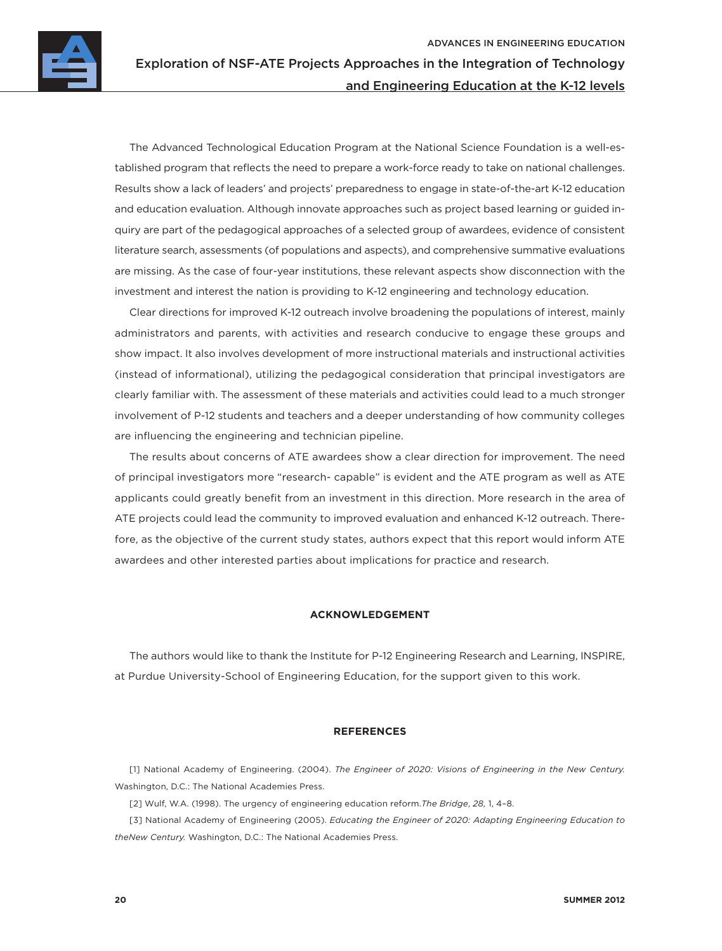

The Advanced Technological Education Program at the National Science Foundation is a well-established program that reflects the need to prepare a work-force ready to take on national challenges. Results show a lack of leaders' and projects' preparedness to engage in state-of-the-art K-12 education and education evaluation. Although innovate approaches such as project based learning or guided inquiry are part of the pedagogical approaches of a selected group of awardees, evidence of consistent literature search, assessments (of populations and aspects), and comprehensive summative evaluations are missing. As the case of four-year institutions, these relevant aspects show disconnection with the investment and interest the nation is providing to K-12 engineering and technology education.

Clear directions for improved K-12 outreach involve broadening the populations of interest, mainly administrators and parents, with activities and research conducive to engage these groups and show impact. It also involves development of more instructional materials and instructional activities (instead of informational), utilizing the pedagogical consideration that principal investigators are clearly familiar with. The assessment of these materials and activities could lead to a much stronger involvement of P-12 students and teachers and a deeper understanding of how community colleges are influencing the engineering and technician pipeline.

The results about concerns of ATE awardees show a clear direction for improvement. The need of principal investigators more "research- capable" is evident and the ATE program as well as ATE applicants could greatly benefit from an investment in this direction. More research in the area of ATE projects could lead the community to improved evaluation and enhanced K-12 outreach. Therefore, as the objective of the current study states, authors expect that this report would inform ATE awardees and other interested parties about implications for practice and research.

#### **ACKNOWLEDGEMENT**

The authors would like to thank the Institute for P-12 Engineering Research and Learning, INSPIRE, at Purdue University-School of Engineering Education, for the support given to this work.

#### **REFERENCES**

[1] National Academy of Engineering. (2004). *The Engineer of 2020: Visions of Engineering in the New Century.*  Washington, D.C.: The National Academies Press.

[2] Wulf, W.A. (1998). The urgency of engineering education reform.*The Bridge*, *28,* 1, 4–8.

[3] National Academy of Engineering (2005). *Educating the Engineer of 2020: Adapting Engineering Education to theNew Century.* Washington, D.C.: The National Academies Press.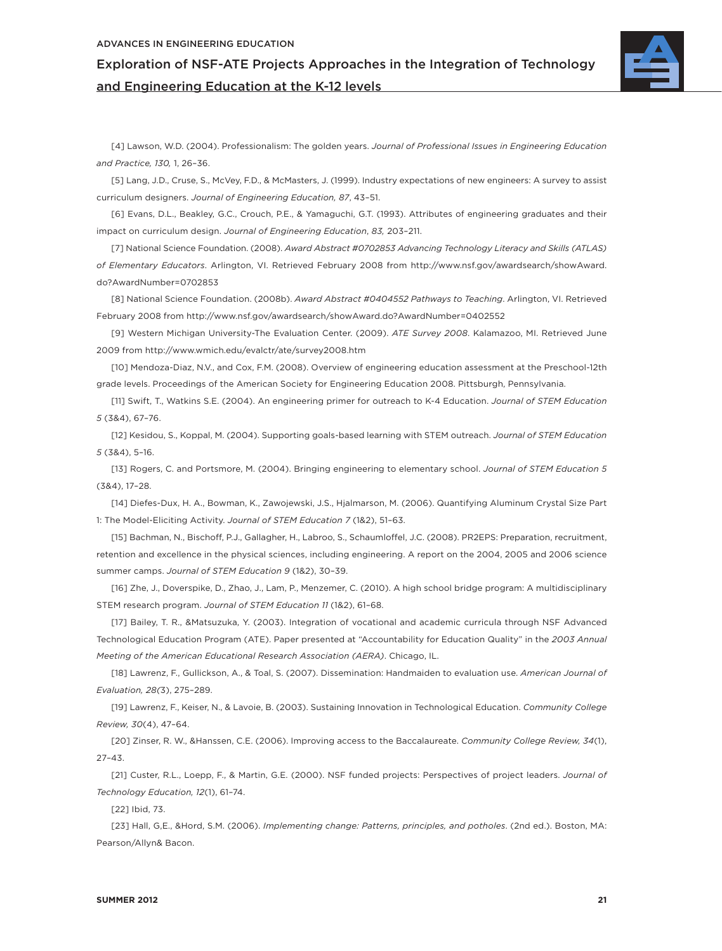

[4] Lawson, W.D. (2004). Professionalism: The golden years. *Journal of Professional Issues in Engineering Education and Practice, 130,* 1, 26–36.

[5] Lang, J.D., Cruse, S., McVey, F.D., & McMasters, J. (1999). Industry expectations of new engineers: A survey to assist curriculum designers. *Journal of Engineering Education, 87*, 43–51.

[6] Evans, D.L., Beakley, G.C., Crouch, P.E., & Yamaguchi, G.T. (1993). Attributes of engineering graduates and their impact on curriculum design. *Journal of Engineering Education*, *83,* 203–211.

[7] National Science Foundation. (2008). *Award Abstract #0702853 Advancing Technology Literacy and Skills (ATLAS) of Elementary Educators*. Arlington, VI. Retrieved February 2008 from http://www.nsf.gov/awardsearch/showAward. do?AwardNumber=0702853

[8] National Science Foundation. (2008b). *Award Abstract #0404552 Pathways to Teaching*. Arlington, VI. Retrieved February 2008 from http://www.nsf.gov/awardsearch/showAward.do?AwardNumber=0402552

[9] Western Michigan University-The Evaluation Center. (2009). *ATE Survey 2008*. Kalamazoo, MI. Retrieved June 2009 from http://www.wmich.edu/evalctr/ate/survey2008.htm

[10] Mendoza-Diaz, N.V., and Cox, F.M. (2008). Overview of engineering education assessment at the Preschool-12th grade levels. Proceedings of the American Society for Engineering Education 2008. Pittsburgh, Pennsylvania.

[11] Swift, T., Watkins S.E. (2004). An engineering primer for outreach to K-4 Education. *Journal of STEM Education 5* (3&4), 67–76.

[12] Kesidou, S., Koppal, M. (2004). Supporting goals-based learning with STEM outreach. *Journal of STEM Education 5* (3&4), 5–16.

[13] Rogers, C. and Portsmore, M. (2004). Bringing engineering to elementary school. *Journal of STEM Education 5*  (3&4), 17–28.

[14] Diefes-Dux, H. A., Bowman, K., Zawojewski, J.S., Hjalmarson, M. (2006). Quantifying Aluminum Crystal Size Part 1: The Model-Eliciting Activity. *Journal of STEM Education 7* (1&2), 51–63.

[15] Bachman, N., Bischoff, P.J., Gallagher, H., Labroo, S., Schaumloffel, J.C. (2008). PR2EPS: Preparation, recruitment, retention and excellence in the physical sciences, including engineering. A report on the 2004, 2005 and 2006 science summer camps. *Journal of STEM Education 9* (1&2), 30–39.

[16] Zhe, J., Doverspike, D., Zhao, J., Lam, P., Menzemer, C. (2010). A high school bridge program: A multidisciplinary STEM research program. *Journal of STEM Education 11* (1&2), 61–68.

[17] Bailey, T. R., &Matsuzuka, Y. (2003). Integration of vocational and academic curricula through NSF Advanced Technological Education Program (ATE). Paper presented at "Accountability for Education Quality" in the *2003 Annual Meeting of the American Educational Research Association (AERA)*. Chicago, IL.

[18] Lawrenz, F., Gullickson, A., & Toal, S. (2007). Dissemination: Handmaiden to evaluation use. *American Journal of Evaluation, 28(*3), 275–289.

[19] Lawrenz, F., Keiser, N., & Lavoie, B. (2003). Sustaining Innovation in Technological Education. *Community College Review, 30*(4), 47–64.

[20] Zinser, R. W., &Hanssen, C.E. (2006). Improving access to the Baccalaureate. *Community College Review, 34*(1), 27–43.

[21] Custer, R.L., Loepp, F., & Martin, G.E. (2000). NSF funded projects: Perspectives of project leaders. *Journal of Technology Education, 12*(1), 61–74.

[22] Ibid, 73.

[23] Hall, G,E., &Hord, S.M. (2006). *Implementing change: Patterns, principles, and potholes*. (2nd ed.). Boston, MA: Pearson/Allyn& Bacon.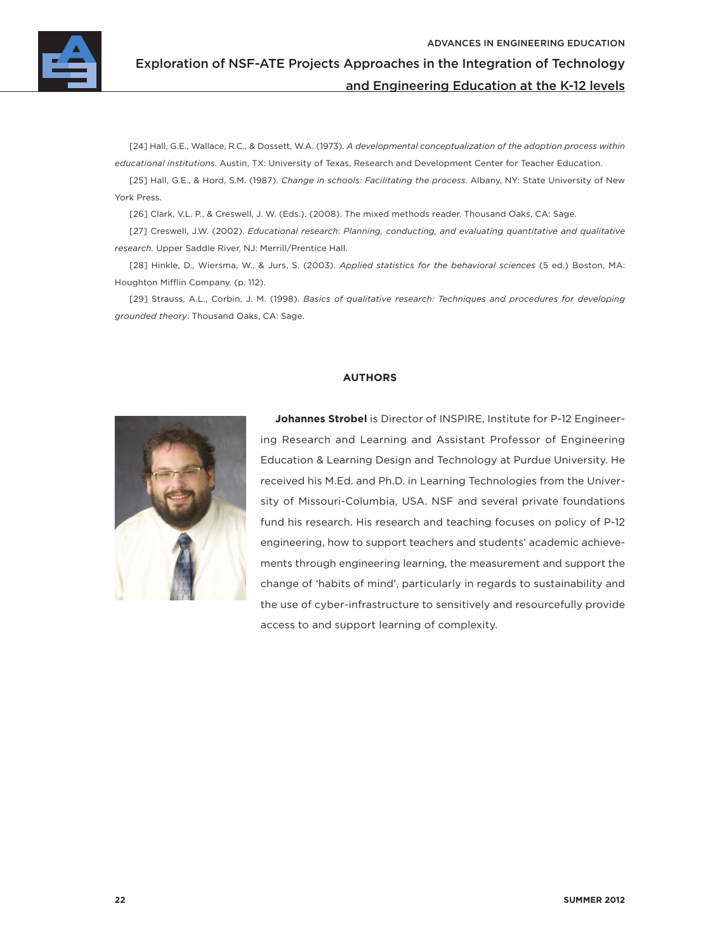

[24] Hall, G.E., Wallace, R.C., & Dossett, W.A. (1973). *A developmental conceptualization of the adoption process within educational institutions*. Austin, TX: University of Texas, Research and Development Center for Teacher Education.

[25] Hall, G.E., & Hord, S.M. (1987). *Change in schools: Facilitating the process*. Albany, NY: State University of New York Press.

[26] Clark, V.L. P., & Creswell, J. W. (Eds.). (2008). The mixed methods reader. Thousand Oaks, CA: Sage.

[27] Creswell, J.W. (2002). *Educational research*: *Planning, conducting, and evaluating quantitative and qualitative research.* Upper Saddle River, NJ: Merrill/Prentice Hall.

[28] Hinkle, D., Wiersma, W., & Jurs, S. (2003). *Applied statistics for the behavioral sciences* (5 ed.) Boston, MA: Houghton Mifflin Company. (p. 112).

[29] Strauss, A.L., Corbin, J. M. (1998). *Basics of qualitative research: Techniques and procedures for developing grounded theory*. Thousand Oaks, CA: Sage.

#### **AUTHORS**



**Johannes Strobel** is Director of INSPIRE, Institute for P-12 Engineering Research and Learning and Assistant Professor of Engineering Education & Learning Design and Technology at Purdue University. He received his M.Ed. and Ph.D. in Learning Technologies from the University of Missouri-Columbia, USA. NSF and several private foundations fund his research. His research and teaching focuses on policy of P-12 engineering, how to support teachers and students' academic achievements through engineering learning, the measurement and support the change of 'habits of mind', particularly in regards to sustainability and the use of cyber-infrastructure to sensitively and resourcefully provide access to and support learning of complexity.